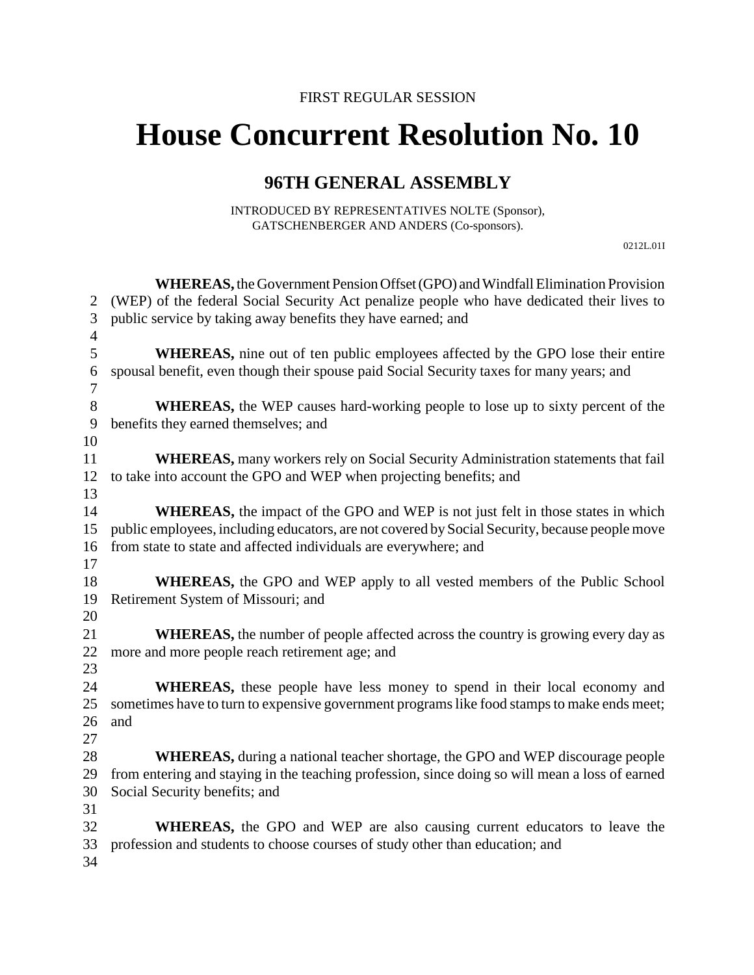## **House Concurrent Resolution No. 10**

## **96TH GENERAL ASSEMBLY**

INTRODUCED BY REPRESENTATIVES NOLTE (Sponsor), GATSCHENBERGER AND ANDERS (Co-sponsors).

0212L.01I

|                | WHEREAS, the Government Pension Offset (GPO) and Windfall Elimination Provision                 |
|----------------|-------------------------------------------------------------------------------------------------|
| 2              | (WEP) of the federal Social Security Act penalize people who have dedicated their lives to      |
| 3              | public service by taking away benefits they have earned; and                                    |
| $\overline{4}$ |                                                                                                 |
| 5              | <b>WHEREAS</b> , nine out of ten public employees affected by the GPO lose their entire         |
| 6              | spousal benefit, even though their spouse paid Social Security taxes for many years; and        |
| 7              |                                                                                                 |
| 8              | <b>WHEREAS</b> , the WEP causes hard-working people to lose up to sixty percent of the          |
| 9              | benefits they earned themselves; and                                                            |
| 10             |                                                                                                 |
| 11             | <b>WHEREAS</b> , many workers rely on Social Security Administration statements that fail       |
| 12             | to take into account the GPO and WEP when projecting benefits; and                              |
| 13             |                                                                                                 |
| 14             | <b>WHEREAS</b> , the impact of the GPO and WEP is not just felt in those states in which        |
| 15             | public employees, including educators, are not covered by Social Security, because people move  |
| 16             | from state to state and affected individuals are everywhere; and                                |
| 17             |                                                                                                 |
| 18             | <b>WHEREAS</b> , the GPO and WEP apply to all vested members of the Public School               |
| 19             | Retirement System of Missouri; and                                                              |
| 20             |                                                                                                 |
| 21             | <b>WHEREAS</b> , the number of people affected across the country is growing every day as       |
| 22             | more and more people reach retirement age; and                                                  |
| 23             |                                                                                                 |
| 24             | WHEREAS, these people have less money to spend in their local economy and                       |
| 25             | sometimes have to turn to expensive government programs like food stamps to make ends meet;     |
| 26             | and                                                                                             |
| 27             |                                                                                                 |
| 28             | <b>WHEREAS</b> , during a national teacher shortage, the GPO and WEP discourage people          |
| 29             | from entering and staying in the teaching profession, since doing so will mean a loss of earned |
| 30             | Social Security benefits; and                                                                   |
| 31             |                                                                                                 |
| 32             | <b>WHEREAS</b> , the GPO and WEP are also causing current educators to leave the                |
| 33             | profession and students to choose courses of study other than education; and                    |
| 34             |                                                                                                 |